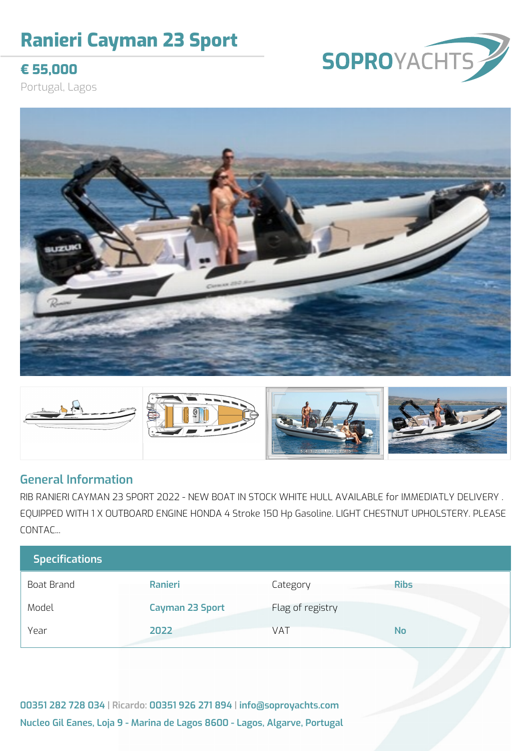## **Ranieri Cayman 23 Sport**

### **€ 55,000**

Portugal, Lagos





#### **General Information**

RIB RANIERI CAYMAN 23 SPORT 2022 - NEW BOAT IN STOCK WHITE HULL AVAILABLE for IMMEDIATLY DELIVERY . EQUIPPED WITH 1 X OUTBOARD ENGINE HONDA 4 Stroke 150 Hp Gasoline. LIGHT CHESTNUT UPHOLSTERY. PLEASE CONTAC...

| <b>Specifications</b> |                        |                  |             |
|-----------------------|------------------------|------------------|-------------|
| Boat Brand            | Ranieri                | Category         | <b>Ribs</b> |
| Model                 | <b>Cayman 23 Sport</b> | Flag of registry |             |
| Year                  | 2022                   | VAT              | <b>No</b>   |

**00351 282 728 034 | Ricardo: 00351 926 271 894 | info@soproyachts.com Nucleo Gil Eanes, Loja 9 - Marina de Lagos 8600 - Lagos, Algarve, Portugal**

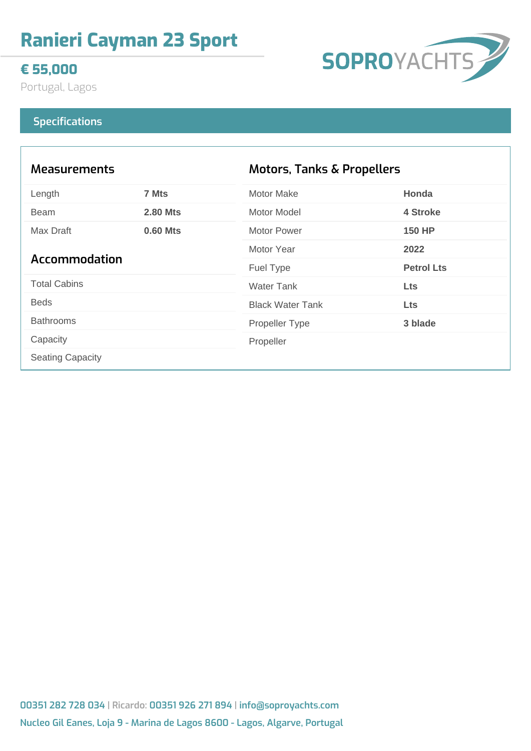## **Ranieri Cayman 23 Sport**

#### **€ 55,000**

Portugal, Lagos

# SOPROYACHTS

#### **Specifications**

| <b>Measurements</b>     |                 | Motors, Tanks & Propellers |                   |
|-------------------------|-----------------|----------------------------|-------------------|
| Length                  | 7 Mts           | <b>Motor Make</b>          | Honda             |
| <b>Beam</b>             | <b>2.80 Mts</b> | Motor Model                | 4 Stroke          |
| Max Draft<br>0.60 Mts   | Motor Power     | <b>150 HP</b>              |                   |
| Accommodation           |                 | Motor Year                 | 2022              |
|                         |                 | Fuel Type                  | <b>Petrol Lts</b> |
| <b>Total Cabins</b>     |                 | <b>Water Tank</b>          | <b>Lts</b>        |
| <b>Beds</b>             |                 | <b>Black Water Tank</b>    | <b>Lts</b>        |
| <b>Bathrooms</b>        |                 | Propeller Type             | 3 blade           |
| Capacity                |                 | Propeller                  |                   |
| <b>Seating Capacity</b> |                 |                            |                   |